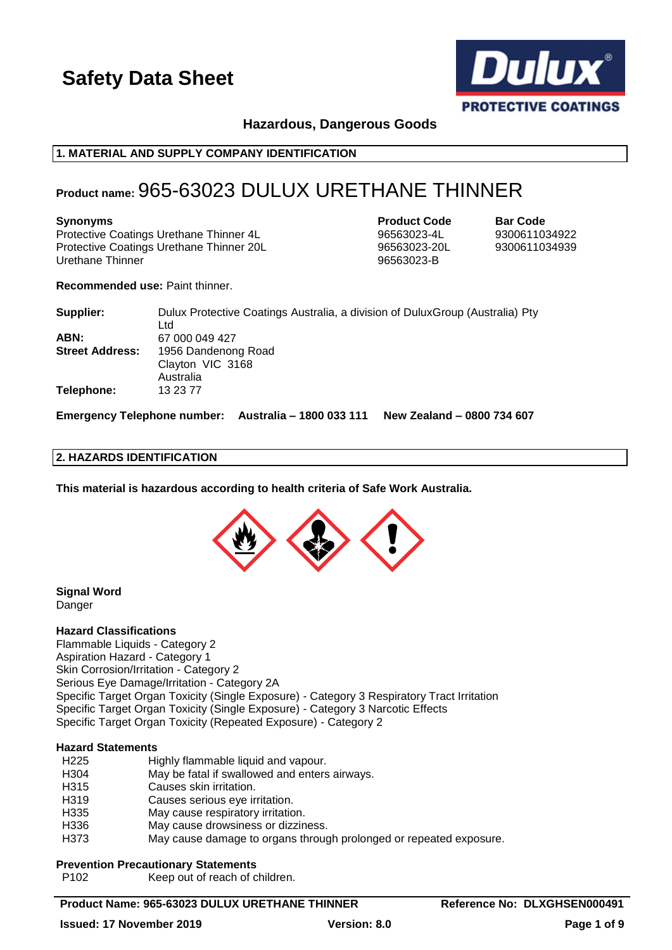

**Hazardous, Dangerous Goods**

# **1. MATERIAL AND SUPPLY COMPANY IDENTIFICATION**

# **Product name:** 965-63023 DULUX URETHANE THINNER

#### **Synonyms Product Code Bar Code**

Protective Coatings Urethane Thinner 4L 96563023-4L 9300611034922 Protective Coatings Urethane Thinner 20L 96563023-20L 9300611034939 Urethane Thinner 96563023-B

**Recommended use:** Paint thinner.

| Supplier:              | Dulux Protective Coatings Australia, a division of Dulux Group (Australia) Pty |
|------------------------|--------------------------------------------------------------------------------|
|                        | Ltd                                                                            |
| ABN:                   | 67 000 049 427                                                                 |
| <b>Street Address:</b> | 1956 Dandenong Road                                                            |
|                        | Clayton VIC 3168                                                               |
|                        | Australia                                                                      |
| Telephone:             | 13 23 77                                                                       |
|                        |                                                                                |

**Emergency Telephone number: Australia – 1800 033 111 New Zealand – 0800 734 607**

# **2. HAZARDS IDENTIFICATION**

**This material is hazardous according to health criteria of Safe Work Australia.**



#### **Signal Word** Danger

#### **Hazard Classifications**

Flammable Liquids - Category 2 Aspiration Hazard - Category 1 Skin Corrosion/Irritation - Category 2 Serious Eye Damage/Irritation - Category 2A Specific Target Organ Toxicity (Single Exposure) - Category 3 Respiratory Tract Irritation Specific Target Organ Toxicity (Single Exposure) - Category 3 Narcotic Effects Specific Target Organ Toxicity (Repeated Exposure) - Category 2

#### **Hazard Statements**

| H <sub>225</sub> | Highly flammable liquid and vapour.                                |
|------------------|--------------------------------------------------------------------|
| H <sub>304</sub> | May be fatal if swallowed and enters airways.                      |
| H315             | Causes skin irritation.                                            |
| H319             | Causes serious eye irritation.                                     |
| H335             | May cause respiratory irritation.                                  |
| H336             | May cause drowsiness or dizziness.                                 |
| H373             | May cause damage to organs through prolonged or repeated exposure. |
|                  |                                                                    |

#### **Prevention Precautionary Statements**

P102 Keep out of reach of children.

# **Product Name: 965-63023 DULUX URETHANE THINNER Reference No: DLXGHSEN000491**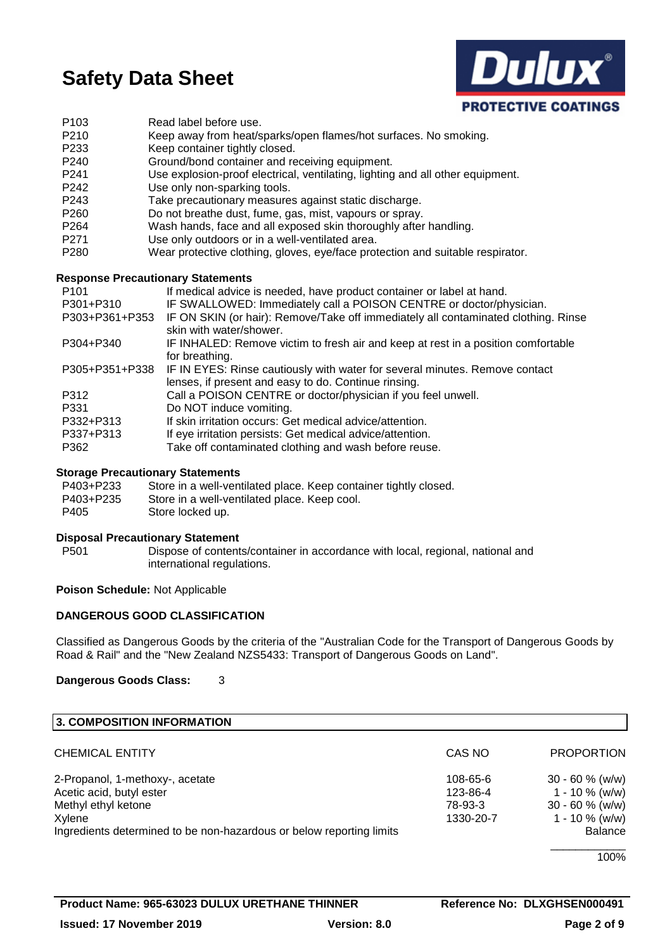

| P <sub>103</sub> | Read label before use.                                                         |
|------------------|--------------------------------------------------------------------------------|
| P <sub>210</sub> | Keep away from heat/sparks/open flames/hot surfaces. No smoking.               |
| P <sub>233</sub> | Keep container tightly closed.                                                 |
| P <sub>240</sub> | Ground/bond container and receiving equipment.                                 |
| P <sub>241</sub> | Use explosion-proof electrical, ventilating, lighting and all other equipment. |
| P <sub>242</sub> | Use only non-sparking tools.                                                   |
| P <sub>243</sub> | Take precautionary measures against static discharge.                          |
| P <sub>260</sub> | Do not breathe dust, fume, gas, mist, vapours or spray.                        |
| P <sub>264</sub> | Wash hands, face and all exposed skin thoroughly after handling.               |
| P <sub>271</sub> | Use only outdoors or in a well-ventilated area.                                |
| P <sub>280</sub> | Wear protective clothing, gloves, eye/face protection and suitable respirator. |

#### **Response Precautionary Statements**

| P <sub>101</sub> | If medical advice is needed, have product container or label at hand.                                                               |
|------------------|-------------------------------------------------------------------------------------------------------------------------------------|
| P301+P310        | IF SWALLOWED: Immediately call a POISON CENTRE or doctor/physician.                                                                 |
| P303+P361+P353   | IF ON SKIN (or hair): Remove/Take off immediately all contaminated clothing. Rinse<br>skin with water/shower.                       |
| P304+P340        | IF INHALED: Remove victim to fresh air and keep at rest in a position comfortable<br>for breathing.                                 |
| P305+P351+P338   | IF IN EYES: Rinse cautiously with water for several minutes. Remove contact<br>lenses, if present and easy to do. Continue rinsing. |
| P312             | Call a POISON CENTRE or doctor/physician if you feel unwell.                                                                        |
| P331             | Do NOT induce vomiting.                                                                                                             |
| P332+P313        | If skin irritation occurs: Get medical advice/attention.                                                                            |
| P337+P313        | If eye irritation persists: Get medical advice/attention.                                                                           |
| P362             | Take off contaminated clothing and wash before reuse.                                                                               |

#### **Storage Precautionary Statements**

| P403+P233 | Store in a well-ventilated place. Keep container tightly closed. |
|-----------|------------------------------------------------------------------|
| P403+P235 | Store in a well-ventilated place. Keep cool.                     |
| P405      | Store locked up.                                                 |

# **Disposal Precautionary Statement**

P501 Dispose of contents/container in accordance with local, regional, national and international regulations.

# **Poison Schedule:** Not Applicable

# **DANGEROUS GOOD CLASSIFICATION**

Classified as Dangerous Goods by the criteria of the "Australian Code for the Transport of Dangerous Goods by Road & Rail" and the "New Zealand NZS5433: Transport of Dangerous Goods on Land".

#### **Dangerous Goods Class:** 3

| 3. COMPOSITION INFORMATION                                           |           |                    |
|----------------------------------------------------------------------|-----------|--------------------|
| <b>CHEMICAL ENTITY</b>                                               | CAS NO    | <b>PROPORTION</b>  |
| 2-Propanol, 1-methoxy-, acetate                                      | 108-65-6  | $30 - 60 \%$ (w/w) |
| Acetic acid, butyl ester                                             | 123-86-4  | $1 - 10 \%$ (w/w)  |
| Methyl ethyl ketone                                                  | 78-93-3   | $30 - 60 %$ (w/w)  |
| Xylene                                                               | 1330-20-7 | $1 - 10 \%$ (w/w)  |
| Ingredients determined to be non-hazardous or below reporting limits |           | <b>Balance</b>     |
|                                                                      |           | 100%               |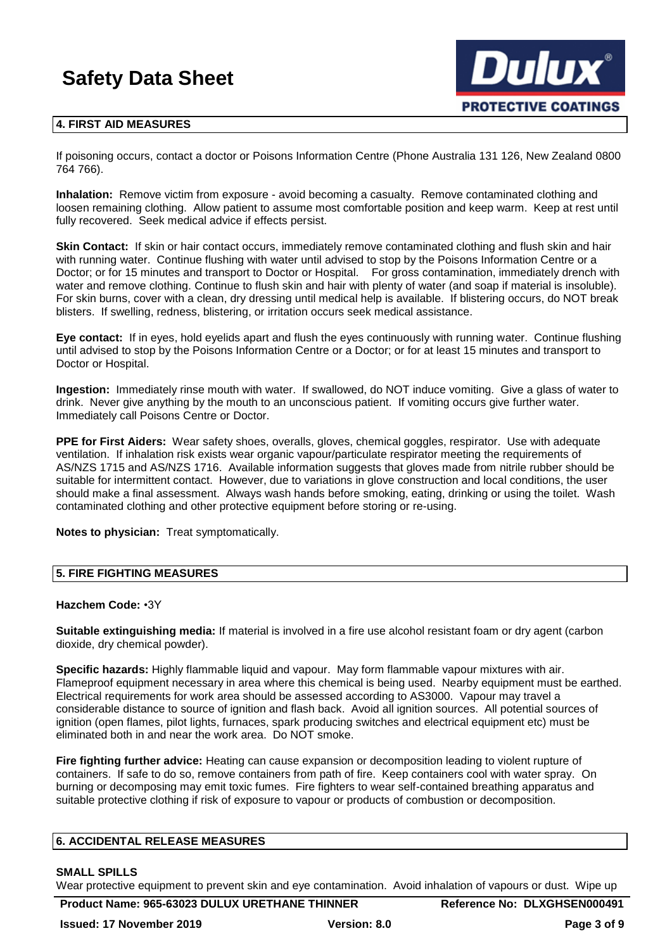

### **4. FIRST AID MEASURES**

If poisoning occurs, contact a doctor or Poisons Information Centre (Phone Australia 131 126, New Zealand 0800 764 766).

**Inhalation:** Remove victim from exposure - avoid becoming a casualty. Remove contaminated clothing and loosen remaining clothing. Allow patient to assume most comfortable position and keep warm. Keep at rest until fully recovered. Seek medical advice if effects persist.

**Skin Contact:** If skin or hair contact occurs, immediately remove contaminated clothing and flush skin and hair with running water. Continue flushing with water until advised to stop by the Poisons Information Centre or a Doctor; or for 15 minutes and transport to Doctor or Hospital. For gross contamination, immediately drench with water and remove clothing. Continue to flush skin and hair with plenty of water (and soap if material is insoluble). For skin burns, cover with a clean, dry dressing until medical help is available. If blistering occurs, do NOT break blisters. If swelling, redness, blistering, or irritation occurs seek medical assistance.

**Eye contact:** If in eyes, hold eyelids apart and flush the eyes continuously with running water. Continue flushing until advised to stop by the Poisons Information Centre or a Doctor; or for at least 15 minutes and transport to Doctor or Hospital.

**Ingestion:** Immediately rinse mouth with water. If swallowed, do NOT induce vomiting. Give a glass of water to drink. Never give anything by the mouth to an unconscious patient. If vomiting occurs give further water. Immediately call Poisons Centre or Doctor.

**PPE for First Aiders:** Wear safety shoes, overalls, gloves, chemical goggles, respirator. Use with adequate ventilation. If inhalation risk exists wear organic vapour/particulate respirator meeting the requirements of AS/NZS 1715 and AS/NZS 1716. Available information suggests that gloves made from nitrile rubber should be suitable for intermittent contact. However, due to variations in glove construction and local conditions, the user should make a final assessment. Always wash hands before smoking, eating, drinking or using the toilet. Wash contaminated clothing and other protective equipment before storing or re-using.

**Notes to physician:** Treat symptomatically.

### **5. FIRE FIGHTING MEASURES**

#### **Hazchem Code:** •3Y

**Suitable extinguishing media:** If material is involved in a fire use alcohol resistant foam or dry agent (carbon dioxide, dry chemical powder).

**Specific hazards:** Highly flammable liquid and vapour. May form flammable vapour mixtures with air. Flameproof equipment necessary in area where this chemical is being used. Nearby equipment must be earthed. Electrical requirements for work area should be assessed according to AS3000. Vapour may travel a considerable distance to source of ignition and flash back. Avoid all ignition sources. All potential sources of ignition (open flames, pilot lights, furnaces, spark producing switches and electrical equipment etc) must be eliminated both in and near the work area. Do NOT smoke.

**Fire fighting further advice:** Heating can cause expansion or decomposition leading to violent rupture of containers. If safe to do so, remove containers from path of fire. Keep containers cool with water spray. On burning or decomposing may emit toxic fumes. Fire fighters to wear self-contained breathing apparatus and suitable protective clothing if risk of exposure to vapour or products of combustion or decomposition.

#### **6. ACCIDENTAL RELEASE MEASURES**

# **SMALL SPILLS**

Wear protective equipment to prevent skin and eye contamination. Avoid inhalation of vapours or dust. Wipe up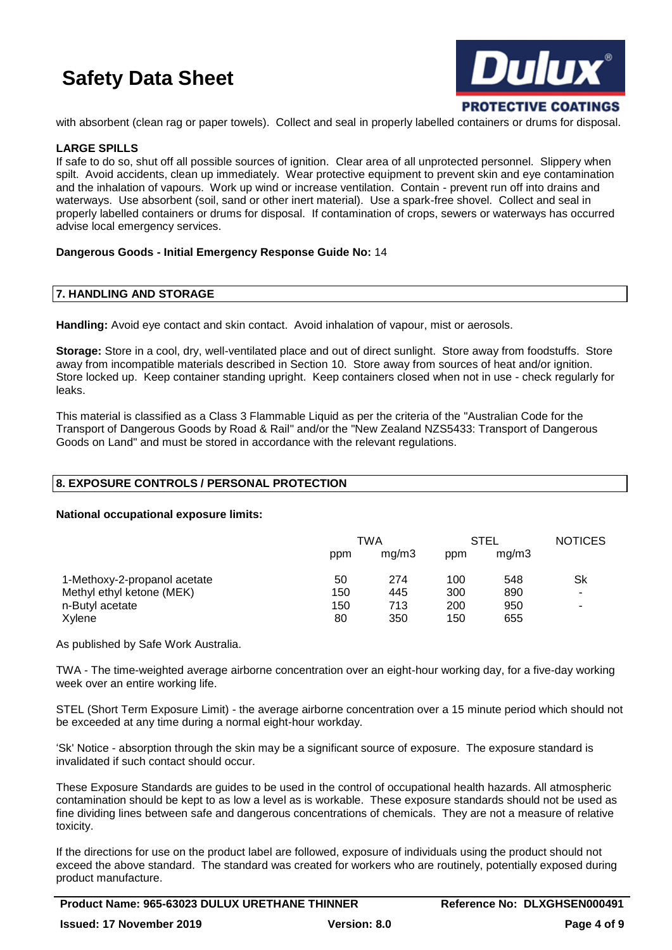

with absorbent (clean rag or paper towels). Collect and seal in properly labelled containers or drums for disposal.

# **LARGE SPILLS**

If safe to do so, shut off all possible sources of ignition. Clear area of all unprotected personnel. Slippery when spilt. Avoid accidents, clean up immediately. Wear protective equipment to prevent skin and eye contamination and the inhalation of vapours. Work up wind or increase ventilation. Contain - prevent run off into drains and waterways. Use absorbent (soil, sand or other inert material). Use a spark-free shovel. Collect and seal in properly labelled containers or drums for disposal. If contamination of crops, sewers or waterways has occurred advise local emergency services.

# **Dangerous Goods - Initial Emergency Response Guide No:** 14

# **7. HANDLING AND STORAGE**

**Handling:** Avoid eye contact and skin contact. Avoid inhalation of vapour, mist or aerosols.

**Storage:** Store in a cool, dry, well-ventilated place and out of direct sunlight. Store away from foodstuffs. Store away from incompatible materials described in Section 10. Store away from sources of heat and/or ignition. Store locked up. Keep container standing upright. Keep containers closed when not in use - check regularly for leaks.

This material is classified as a Class 3 Flammable Liquid as per the criteria of the "Australian Code for the Transport of Dangerous Goods by Road & Rail" and/or the "New Zealand NZS5433: Transport of Dangerous Goods on Land" and must be stored in accordance with the relevant regulations.

# **8. EXPOSURE CONTROLS / PERSONAL PROTECTION**

#### **National occupational exposure limits:**

|                              | TWA |       | <b>STEL</b> |       | <b>NOTICES</b> |
|------------------------------|-----|-------|-------------|-------|----------------|
|                              | ppm | mq/m3 | ppm         | mq/m3 |                |
| 1-Methoxy-2-propanol acetate | 50  | 274   | 100         | 548   | <b>Sk</b>      |
| Methyl ethyl ketone (MEK)    | 150 | 445   | 300         | 890   | ۰              |
| n-Butyl acetate              | 150 | 713   | 200         | 950   | -              |
| Xylene                       | 80  | 350   | 150         | 655   |                |

As published by Safe Work Australia.

TWA - The time-weighted average airborne concentration over an eight-hour working day, for a five-day working week over an entire working life.

STEL (Short Term Exposure Limit) - the average airborne concentration over a 15 minute period which should not be exceeded at any time during a normal eight-hour workday.

'Sk' Notice - absorption through the skin may be a significant source of exposure. The exposure standard is invalidated if such contact should occur.

These Exposure Standards are guides to be used in the control of occupational health hazards. All atmospheric contamination should be kept to as low a level as is workable. These exposure standards should not be used as fine dividing lines between safe and dangerous concentrations of chemicals. They are not a measure of relative toxicity.

If the directions for use on the product label are followed, exposure of individuals using the product should not exceed the above standard. The standard was created for workers who are routinely, potentially exposed during product manufacture.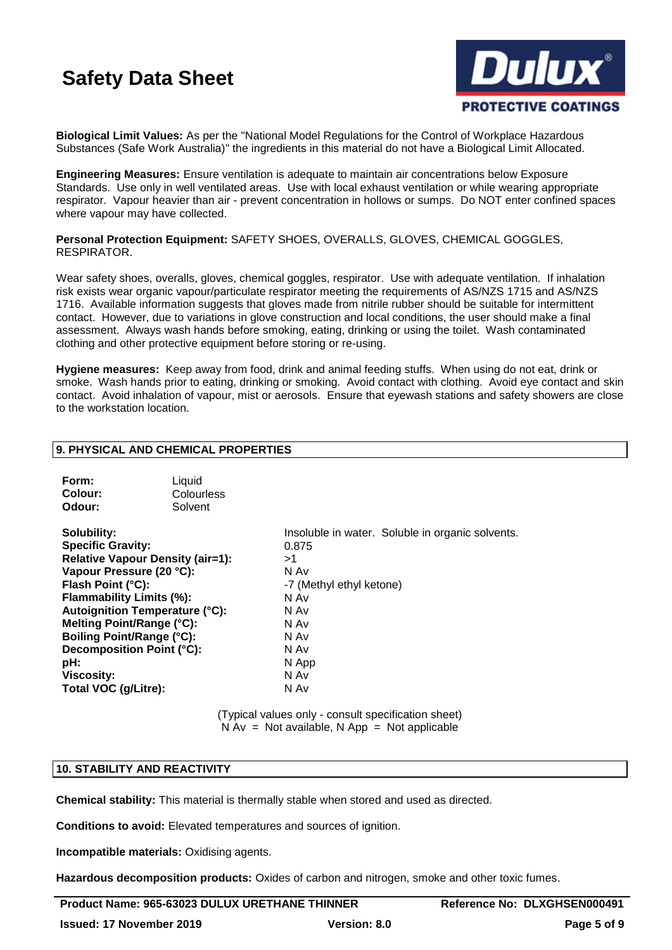

**Biological Limit Values:** As per the "National Model Regulations for the Control of Workplace Hazardous Substances (Safe Work Australia)" the ingredients in this material do not have a Biological Limit Allocated.

**Engineering Measures:** Ensure ventilation is adequate to maintain air concentrations below Exposure Standards. Use only in well ventilated areas. Use with local exhaust ventilation or while wearing appropriate respirator. Vapour heavier than air - prevent concentration in hollows or sumps. Do NOT enter confined spaces where vapour may have collected.

**Personal Protection Equipment:** SAFETY SHOES, OVERALLS, GLOVES, CHEMICAL GOGGLES, RESPIRATOR.

Wear safety shoes, overalls, gloves, chemical goggles, respirator. Use with adequate ventilation. If inhalation risk exists wear organic vapour/particulate respirator meeting the requirements of AS/NZS 1715 and AS/NZS 1716. Available information suggests that gloves made from nitrile rubber should be suitable for intermittent contact. However, due to variations in glove construction and local conditions, the user should make a final assessment. Always wash hands before smoking, eating, drinking or using the toilet. Wash contaminated clothing and other protective equipment before storing or re-using.

**Hygiene measures:** Keep away from food, drink and animal feeding stuffs. When using do not eat, drink or smoke. Wash hands prior to eating, drinking or smoking. Avoid contact with clothing. Avoid eye contact and skin contact. Avoid inhalation of vapour, mist or aerosols. Ensure that eyewash stations and safety showers are close to the workstation location.

# **9. PHYSICAL AND CHEMICAL PROPERTIES**

| Form:<br>Colour:<br>Odour:                                                                                                                                                                                                                                                                                                            | Liquid<br>Colourless<br>Solvent |                                                                                                                                                                      |
|---------------------------------------------------------------------------------------------------------------------------------------------------------------------------------------------------------------------------------------------------------------------------------------------------------------------------------------|---------------------------------|----------------------------------------------------------------------------------------------------------------------------------------------------------------------|
| Solubility:<br><b>Specific Gravity:</b><br><b>Relative Vapour Density (air=1):</b><br>Vapour Pressure (20 °C):<br>Flash Point (°C):<br>Flammability Limits (%):<br>Autoignition Temperature (°C):<br>Melting Point/Range (°C):<br>Boiling Point/Range (°C):<br>Decomposition Point (°C):<br>pH:<br>Viscosity:<br>Total VOC (g/Litre): |                                 | Insoluble in water. Soluble in organic solvents.<br>0.875<br>>1<br>N Av<br>-7 (Methyl ethyl ketone)<br>N Av<br>N Av<br>N Av<br>N Av<br>N Av<br>N App<br>N Av<br>N Av |

(Typical values only - consult specification sheet)  $N Av = Not available, N App = Not applicable$ 

#### **10. STABILITY AND REACTIVITY**

**Chemical stability:** This material is thermally stable when stored and used as directed.

**Conditions to avoid:** Elevated temperatures and sources of ignition.

**Incompatible materials:** Oxidising agents.

**Hazardous decomposition products:** Oxides of carbon and nitrogen, smoke and other toxic fumes.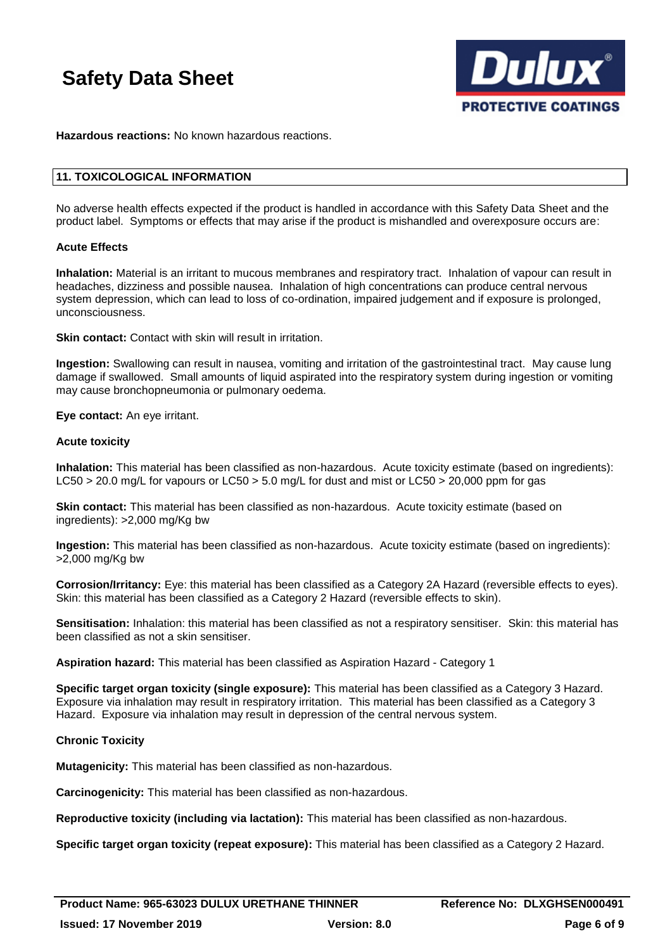

**Hazardous reactions:** No known hazardous reactions.

# **11. TOXICOLOGICAL INFORMATION**

No adverse health effects expected if the product is handled in accordance with this Safety Data Sheet and the product label. Symptoms or effects that may arise if the product is mishandled and overexposure occurs are:

### **Acute Effects**

**Inhalation:** Material is an irritant to mucous membranes and respiratory tract. Inhalation of vapour can result in headaches, dizziness and possible nausea. Inhalation of high concentrations can produce central nervous system depression, which can lead to loss of co-ordination, impaired judgement and if exposure is prolonged, unconsciousness.

**Skin contact:** Contact with skin will result in irritation.

**Ingestion:** Swallowing can result in nausea, vomiting and irritation of the gastrointestinal tract. May cause lung damage if swallowed. Small amounts of liquid aspirated into the respiratory system during ingestion or vomiting may cause bronchopneumonia or pulmonary oedema.

**Eye contact:** An eye irritant.

### **Acute toxicity**

**Inhalation:** This material has been classified as non-hazardous. Acute toxicity estimate (based on ingredients): LC50 > 20.0 mg/L for vapours or LC50 > 5.0 mg/L for dust and mist or LC50 > 20,000 ppm for gas

**Skin contact:** This material has been classified as non-hazardous. Acute toxicity estimate (based on ingredients): >2,000 mg/Kg bw

**Ingestion:** This material has been classified as non-hazardous. Acute toxicity estimate (based on ingredients): >2,000 mg/Kg bw

**Corrosion/Irritancy:** Eye: this material has been classified as a Category 2A Hazard (reversible effects to eyes). Skin: this material has been classified as a Category 2 Hazard (reversible effects to skin).

**Sensitisation:** Inhalation: this material has been classified as not a respiratory sensitiser. Skin: this material has been classified as not a skin sensitiser.

**Aspiration hazard:** This material has been classified as Aspiration Hazard - Category 1

**Specific target organ toxicity (single exposure):** This material has been classified as a Category 3 Hazard. Exposure via inhalation may result in respiratory irritation. This material has been classified as a Category 3 Hazard. Exposure via inhalation may result in depression of the central nervous system.

# **Chronic Toxicity**

**Mutagenicity:** This material has been classified as non-hazardous.

**Carcinogenicity:** This material has been classified as non-hazardous.

**Reproductive toxicity (including via lactation):** This material has been classified as non-hazardous.

**Specific target organ toxicity (repeat exposure):** This material has been classified as a Category 2 Hazard.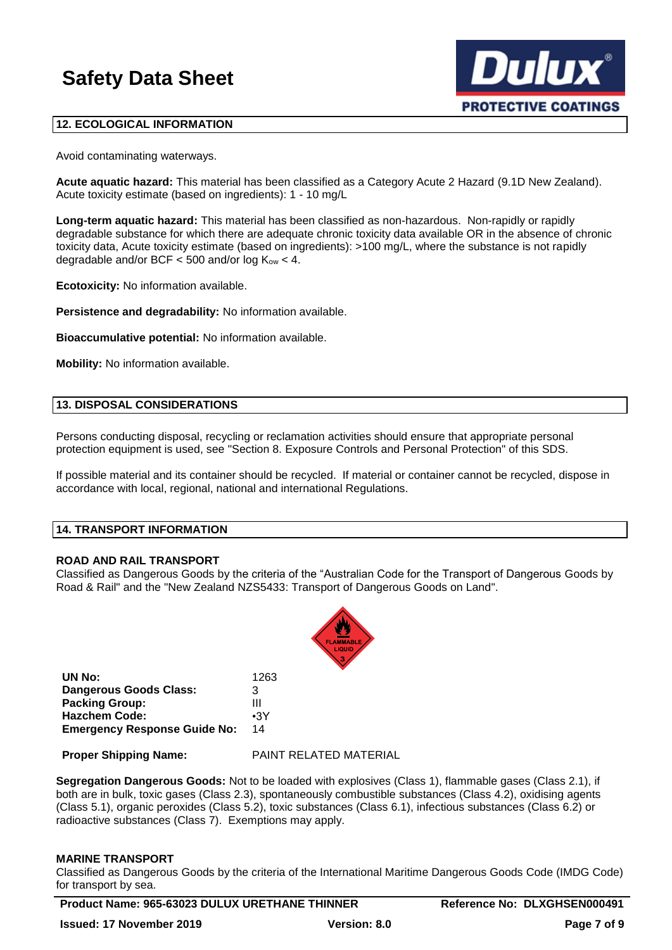

# **12. ECOLOGICAL INFORMATION**

Avoid contaminating waterways.

**Acute aquatic hazard:** This material has been classified as a Category Acute 2 Hazard (9.1D New Zealand). Acute toxicity estimate (based on ingredients): 1 - 10 mg/L

**Long-term aquatic hazard:** This material has been classified as non-hazardous. Non-rapidly or rapidly degradable substance for which there are adequate chronic toxicity data available OR in the absence of chronic toxicity data, Acute toxicity estimate (based on ingredients): >100 mg/L, where the substance is not rapidly degradable and/or BCF  $<$  500 and/or log  $K_{ow}$   $<$  4.

**Ecotoxicity:** No information available.

**Persistence and degradability:** No information available.

**Bioaccumulative potential:** No information available.

**Mobility:** No information available.

# **13. DISPOSAL CONSIDERATIONS**

Persons conducting disposal, recycling or reclamation activities should ensure that appropriate personal protection equipment is used, see "Section 8. Exposure Controls and Personal Protection" of this SDS.

If possible material and its container should be recycled. If material or container cannot be recycled, dispose in accordance with local, regional, national and international Regulations.

#### **14. TRANSPORT INFORMATION**

#### **ROAD AND RAIL TRANSPORT**

Classified as Dangerous Goods by the criteria of the "Australian Code for the Transport of Dangerous Goods by Road & Rail" and the "New Zealand NZS5433: Transport of Dangerous Goods on Land".



| UN No:                              | 1263       |
|-------------------------------------|------------|
| <b>Dangerous Goods Class:</b>       | 3          |
| <b>Packing Group:</b>               | Ш          |
| <b>Hazchem Code:</b>                | $\cdot$ 3Y |
| <b>Emergency Response Guide No:</b> | 14         |

**Proper Shipping Name:** PAINT RELATED MATERIAL

**Segregation Dangerous Goods:** Not to be loaded with explosives (Class 1), flammable gases (Class 2.1), if both are in bulk, toxic gases (Class 2.3), spontaneously combustible substances (Class 4.2), oxidising agents (Class 5.1), organic peroxides (Class 5.2), toxic substances (Class 6.1), infectious substances (Class 6.2) or radioactive substances (Class 7). Exemptions may apply.

#### **MARINE TRANSPORT**

Classified as Dangerous Goods by the criteria of the International Maritime Dangerous Goods Code (IMDG Code) for transport by sea.

**Product Name: 965-63023 DULUX URETHANE THINNER Reference No: DLXGHSEN000491**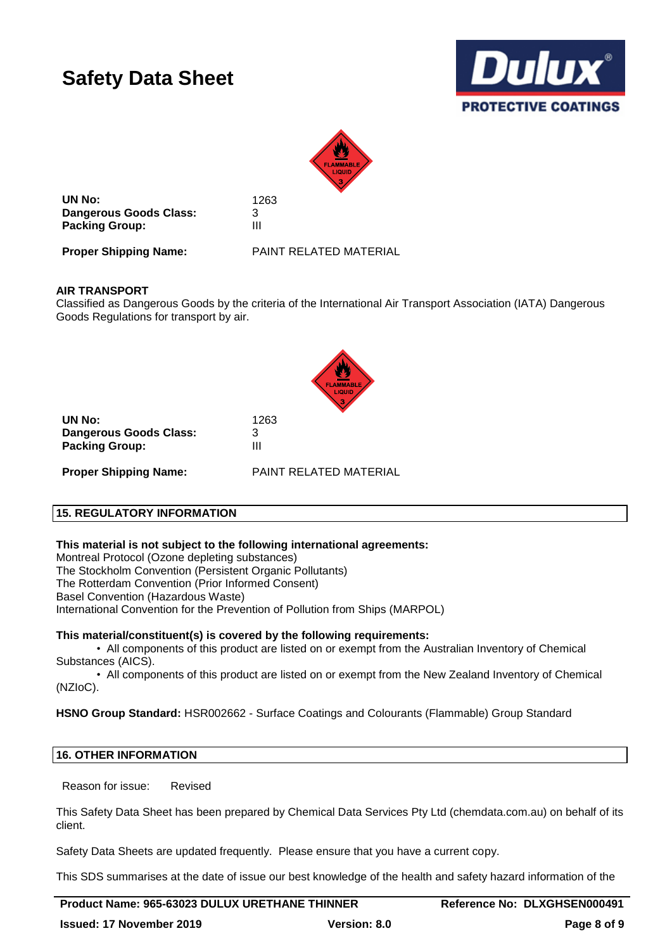



**UN No:** 1263 **Dangerous Goods Class:** 3 **Packing Group:** III

**Proper Shipping Name:** PAINT RELATED MATERIAL

# **AIR TRANSPORT**

Classified as Dangerous Goods by the criteria of the International Air Transport Association (IATA) Dangerous Goods Regulations for transport by air.



**UN No:** 1263 **Dangerous Goods Class:** 3 **Packing Group:** III

**Proper Shipping Name:** PAINT RELATED MATERIAL

# **15. REGULATORY INFORMATION**

**This material is not subject to the following international agreements:**

Montreal Protocol (Ozone depleting substances)

The Stockholm Convention (Persistent Organic Pollutants)

The Rotterdam Convention (Prior Informed Consent)

Basel Convention (Hazardous Waste)

International Convention for the Prevention of Pollution from Ships (MARPOL)

#### **This material/constituent(s) is covered by the following requirements:**

• All components of this product are listed on or exempt from the Australian Inventory of Chemical Substances (AICS).

• All components of this product are listed on or exempt from the New Zealand Inventory of Chemical (NZIoC).

**HSNO Group Standard:** HSR002662 - Surface Coatings and Colourants (Flammable) Group Standard

# **16. OTHER INFORMATION**

Reason for issue: Revised

This Safety Data Sheet has been prepared by Chemical Data Services Pty Ltd (chemdata.com.au) on behalf of its client.

Safety Data Sheets are updated frequently. Please ensure that you have a current copy.

This SDS summarises at the date of issue our best knowledge of the health and safety hazard information of the